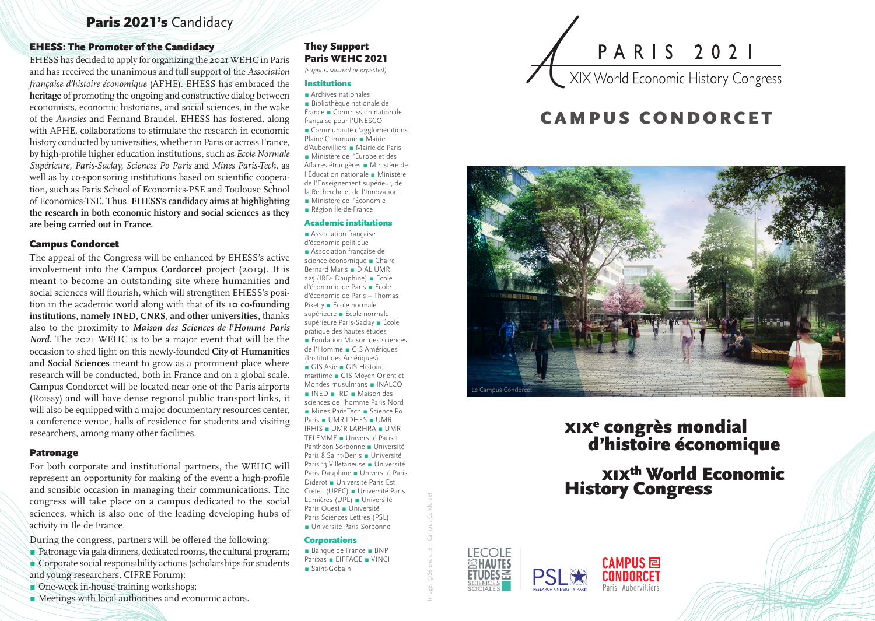# Paris 2021's Candidacy

### EHESS: The Promoter of the Candidacy

EHESS has decided to apply for organizing the 2021 WEHC in Paris and has received the unanimous and full support of the *Association française d'histoire économique* (AFHE). EHESS has embraced the **heritage** of promoting the ongoing and constructive dialog between economists, economic historians, and social sciences, in the wake of the *Annales* and Fernand Braudel. EHESS has fostered, along with AFHE, collaborations to stimulate the research in economic history conducted by universities, whether in Paris or across France, by high-profile higher education institutions, such as *Ecole Normale Supérieure, Paris-Saclay, Sciences Po Paris* and *Mines Paris-Tech,* as well as by co-sponsoring institutions based on scientific cooperation, such as Paris School of Economics-PSE and Toulouse School of Economics-TSE. Thus, **EHESS's candidacy aims at highlighting the research in both economic history and social sciences as they are being carried out in France.**

### Campus Condorcet

The appeal of the Congress will be enhanced by EHESS's active involvement into the **Campus Cordorcet** project (2019). It is meant to become an outstanding site where humanities and social sciences will flourish, which will strengthen EHESS's position in the academic world along with that of its **10 co-founding institutions, namely INED, CNRS, and other universities,** thanks also to the proximity to *Maison des Sciences de l'Homme Paris Nord.* The 2021 WEHC is to be a major event that will be the occasion to shed light on this newly-founded **City of Humanities and Social Sciences** meant to grow as a prominent place where research will be conducted, both in France and on a global scale. Campus Condorcet will be located near one of the Paris airports (Roissy) and will have dense regional public transport links, it will also be equipped with a major documentary resources center, a conference venue, halls of residence for students and visiting researchers, among many other facilities.

### Patronage

For both corporate and institutional partners, the WEHC will represent an opportunity for making of the event a high-profile and sensible occasion in managing their communications. The congress will take place on a campus dedicated to the social sciences, which is also one of the leading developing hubs of activity in Ile de France.

During the congress, partners will be offered the following:

- Patronage via gala dinners, dedicated rooms, the cultural program;
- Corporate social responsibility actions (scholarships for students and young researchers, CIFRE Forum);
- One-week in-house training workshops;
- 

### ■ Meetings with local authorities and economic actors.

# They Support Paris WEHC 2021

*(support secured or expected)*

### Institutions

■ Archives nationales ■ Bibliothèque nationale de France ■ Commission nationale française pour l'UNESCO ■ Communauté d'agglomérations Plaine Commune ■ Mairie d'Aubervilliers ■ Mairie de Paris ■ Ministère de l'Europe et des Affaires étrangères ■ Ministère de l'Éducation nationale ■ Ministère de l'Enseignement supérieur, de la Recherche et de l'Innovation ■ Ministère de l'Économie

■ Région Île-de-France

#### Academic institutions

■ Association francaise d'économie politique ■ Association francaise de science économique ■ Chaire Bernard Maris ■ DIAL UMR 225 (IRD- Dauphine) ■ École d'économie de Paris ■ École d'économie de Paris – Thomas Piketty ■ École normale supérieure ■ École normale supérieure Paris-Saclay ■ École pratique des hautes études ■ Fondation Maison des sciences de l'Homme ■ GIS Amériques (Institut des Amériques)

■ GIS Asie ■ GIS Histoire maritime ■ GIS Moyen Orient et Mondes musulmans ■ INALCO

■ INED ■ IRD ■ Maison des sciences de l'homme Paris Nord ■ Mines ParisTech ■ Science Po Paris ■ UMR IDHES ■ UMR IRHIS ■ UMR LARHRA ■ UMR TELEMME ■ Université Paris 1 Panthéon Sorbonne ■ Université Paris 8 Saint-Denis ■ Université Paris 13 Villetaneuse ■ Université Paris Dauphine ■ Université Paris Diderot ■ Université Paris Est Créteil (UPEC) ■ Université Paris Lumières (UPL) ■ Université Paris Ouest ■ Université Paris Sciences Lettres (PSL) ■ Université Paris Sorbonne

#### **Corporations**

■ Banque de France ■ BNP Paribas ■ EIFFAGE ■ VINCI ■ Saint-Gobain



# CAMPUS CONDORCET



# xixe congrès mondial d'histoire économique

# xixth World Economic History Congress



Image : ©Sérendicité – Campus Condorcet